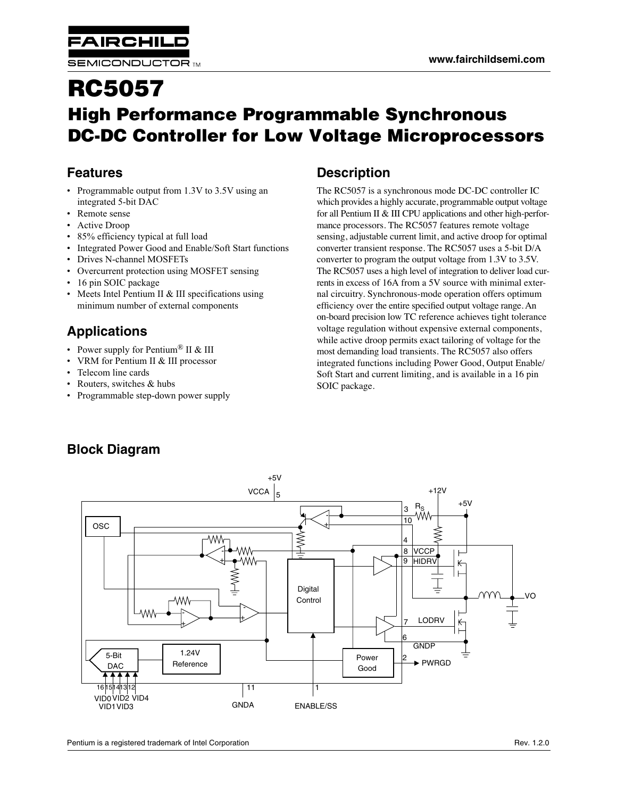**FAIRCHIL** 

# **RC5057 High Performance Programmable Synchronous DC-DC Controller for Low Voltage Microprocessors**

# **Features**

- Programmable output from 1.3V to 3.5V using an integrated 5-bit DAC
- Remote sense
- Active Droop
- 85% efficiency typical at full load
- Integrated Power Good and Enable/Soft Start functions
- Drives N-channel MOSFETs
- Overcurrent protection using MOSFET sensing
- 16 pin SOIC package
- Meets Intel Pentium II & III specifications using minimum number of external components

# **Applications**

- Power supply for Pentium<sup>®</sup> II & III
- VRM for Pentium II & III processor
- Telecom line cards
- Routers, switches & hubs
- Programmable step-down power supply

# **Description**

The RC5057 is a synchronous mode DC-DC controller IC which provides a highly accurate, programmable output voltage for all Pentium II & III CPU applications and other high-performance processors. The RC5057 features remote voltage sensing, adjustable current limit, and active droop for optimal converter transient response. The RC5057 uses a 5-bit D/A converter to program the output voltage from 1.3V to 3.5V. The RC5057 uses a high level of integration to deliver load currents in excess of 16A from a 5V source with minimal external circuitry. Synchronous-mode operation offers optimum efficiency over the entire specified output voltage range. An on-board precision low TC reference achieves tight tolerance voltage regulation without expensive external components, while active droop permits exact tailoring of voltage for the most demanding load transients. The RC5057 also offers integrated functions including Power Good, Output Enable/ Soft Start and current limiting, and is available in a 16 pin SOIC package.



# **Block Diagram**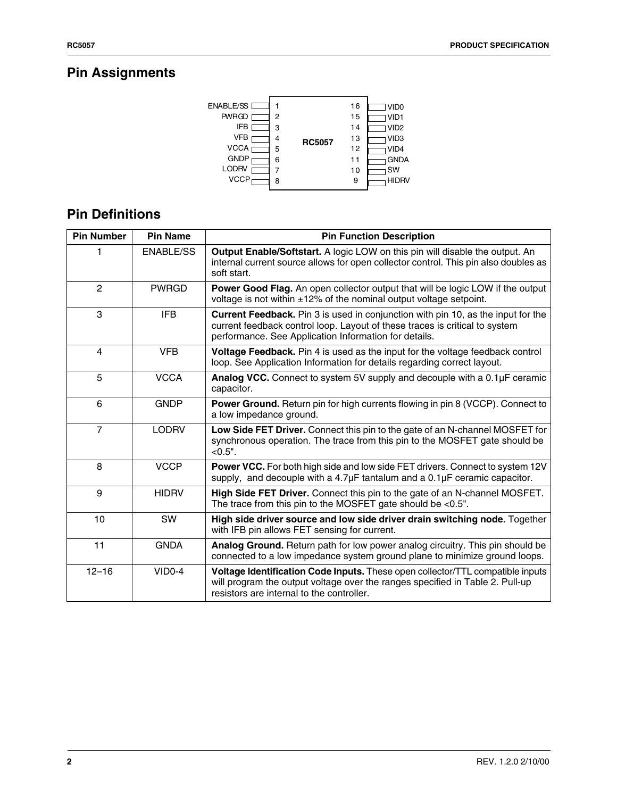# **Pin Assignments**



# **Pin Definitions**

| <b>Pin Number</b> | <b>Pin Name</b>  | <b>Pin Function Description</b>                                                                                                                                                                                          |
|-------------------|------------------|--------------------------------------------------------------------------------------------------------------------------------------------------------------------------------------------------------------------------|
|                   | <b>ENABLE/SS</b> | Output Enable/Softstart. A logic LOW on this pin will disable the output. An<br>internal current source allows for open collector control. This pin also doubles as<br>soft start.                                       |
| $\overline{2}$    | <b>PWRGD</b>     | Power Good Flag. An open collector output that will be logic LOW if the output<br>voltage is not within $\pm 12\%$ of the nominal output voltage setpoint.                                                               |
| 3                 | <b>IFB</b>       | Current Feedback. Pin 3 is used in conjunction with pin 10, as the input for the<br>current feedback control loop. Layout of these traces is critical to system<br>performance. See Application Information for details. |
| $\overline{4}$    | <b>VFB</b>       | Voltage Feedback. Pin 4 is used as the input for the voltage feedback control<br>loop. See Application Information for details regarding correct layout.                                                                 |
| 5                 | <b>VCCA</b>      | Analog VCC. Connect to system 5V supply and decouple with a 0.1µF ceramic<br>capacitor.                                                                                                                                  |
| 6                 | <b>GNDP</b>      | <b>Power Ground.</b> Return pin for high currents flowing in pin 8 (VCCP). Connect to<br>a low impedance ground.                                                                                                         |
| $\overline{7}$    | <b>LODRV</b>     | Low Side FET Driver. Connect this pin to the gate of an N-channel MOSFET for<br>synchronous operation. The trace from this pin to the MOSFET gate should be<br>$< 0.5"$ .                                                |
| 8                 | <b>VCCP</b>      | Power VCC. For both high side and low side FET drivers. Connect to system 12V<br>supply, and decouple with a $4.7\mu$ F tantalum and a $0.1\mu$ F ceramic capacitor.                                                     |
| 9                 | <b>HIDRV</b>     | High Side FET Driver. Connect this pin to the gate of an N-channel MOSFET.<br>The trace from this pin to the MOSFET gate should be <0.5".                                                                                |
| 10                | SW               | High side driver source and low side driver drain switching node. Together<br>with IFB pin allows FET sensing for current.                                                                                               |
| 11                | <b>GNDA</b>      | Analog Ground. Return path for low power analog circuitry. This pin should be<br>connected to a low impedance system ground plane to minimize ground loops.                                                              |
| $12 - 16$         | $VIDO-4$         | Voltage Identification Code Inputs. These open collector/TTL compatible inputs<br>will program the output voltage over the ranges specified in Table 2. Pull-up<br>resistors are internal to the controller.             |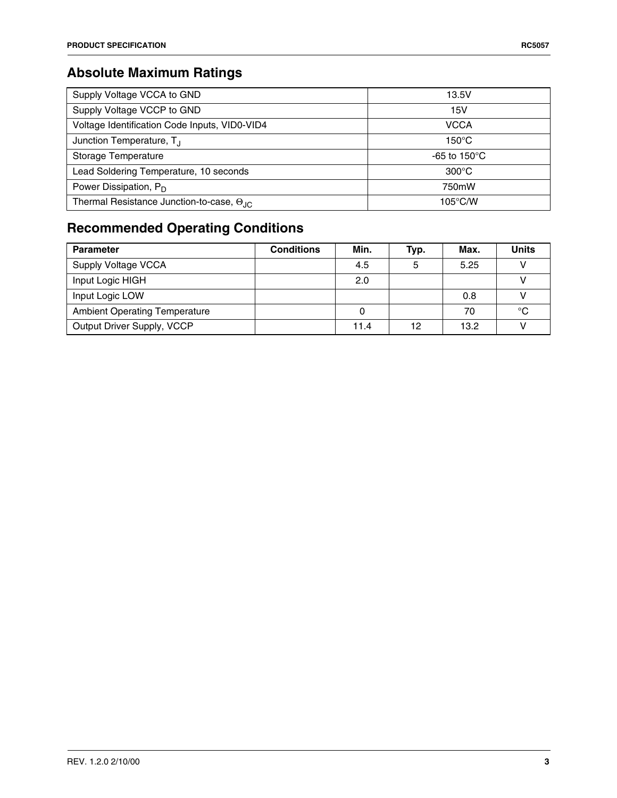# **Absolute Maximum Ratings**

| Supply Voltage VCCA to GND                                | 13.5V                   |
|-----------------------------------------------------------|-------------------------|
| Supply Voltage VCCP to GND                                | 15V                     |
| Voltage Identification Code Inputs, VID0-VID4             | <b>VCCA</b>             |
| Junction Temperature, T <sub>.I</sub>                     | $150^{\circ}$ C         |
| Storage Temperature                                       | -65 to 150 $^{\circ}$ C |
| Lead Soldering Temperature, 10 seconds                    | $300^{\circ}$ C         |
| Power Dissipation, $P_D$                                  | 750mW                   |
| Thermal Resistance Junction-to-case, $\Theta_{\text{JC}}$ | $105^{\circ}$ C/W       |

# **Recommended Operating Conditions**

| <b>Parameter</b>                     | <b>Conditions</b> | Min. | Typ. | Max. | <b>Units</b> |
|--------------------------------------|-------------------|------|------|------|--------------|
| Supply Voltage VCCA                  |                   | 4.5  | 5    | 5.25 |              |
| Input Logic HIGH                     |                   | 2.0  |      |      |              |
| Input Logic LOW                      |                   |      |      | 0.8  |              |
| <b>Ambient Operating Temperature</b> |                   |      |      | 70   | °C           |
| Output Driver Supply, VCCP           |                   | 11.4 | 12   | 13.2 |              |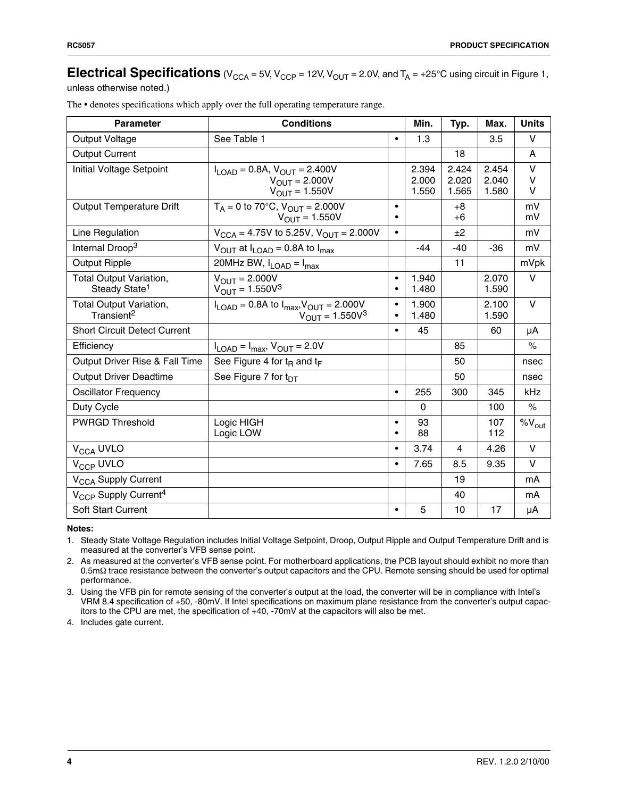# **Electrical Specifications** (V<sub>CCA</sub> = 5V, V<sub>CCP</sub> = 12V, V<sub>OUT</sub> = 2.0V, and  $T_A$  = +25°C using circuit in Figure 1,

unless otherwise noted.)

| <b>Parameter</b>                                            | <b>Conditions</b>                                                                                   |                | Min.                    | Typ.                    | Max.                    | <b>Units</b>          |
|-------------------------------------------------------------|-----------------------------------------------------------------------------------------------------|----------------|-------------------------|-------------------------|-------------------------|-----------------------|
| Output Voltage                                              | See Table 1                                                                                         | $\bullet$      | 1.3                     |                         | 3.5                     | v                     |
| <b>Output Current</b>                                       |                                                                                                     |                |                         | 18                      |                         | A                     |
| Initial Voltage Setpoint                                    | $I_{LOAD} = 0.8A$ , $V_{OUT} = 2.400V$<br>$V_{OUT}$ = 2.000V<br>$V_{OUT} = 1.550V$                  |                | 2.394<br>2.000<br>1.550 | 2.424<br>2.020<br>1.565 | 2.454<br>2.040<br>1.580 | $\vee$<br>$\vee$<br>V |
| <b>Output Temperature Drift</b>                             | $T_A = 0$ to 70°C, $V_{OUT} = 2.000V$<br>$V_{OUT} = 1.550V$                                         | $\bullet$      |                         | $+8$<br>$+6$            |                         | mV<br>mV              |
| Line Regulation                                             | $V_{\text{CCA}} = 4.75V$ to 5.25V, $V_{\text{OUT}} = 2.000V$                                        | $\bullet$      |                         | ±2                      |                         | mV                    |
| Internal Droop <sup>3</sup>                                 | $V_{\text{OUT}}$ at $I_{\text{LOAD}}$ = 0.8A to $I_{\text{max}}$                                    |                | $-44$                   | $-40$                   | $-36$                   | mV                    |
| <b>Output Ripple</b>                                        | 20MHz BW, $I_{LOAD} = I_{max}$                                                                      |                |                         | 11                      |                         | mVpk                  |
| <b>Total Output Variation,</b><br>Steady State <sup>1</sup> | $V_{\text{OUT}} = 2.000V$<br>$V_{OUT} = 1.550V^{3}$                                                 | $\bullet$<br>٠ | 1.940<br>1.480          |                         | 2.070<br>1.590          | V                     |
| <b>Total Output Variation,</b><br>Transient <sup>2</sup>    | $I_{\text{LOAD}} = 0.8$ A to $I_{\text{max}}$ , $V_{\text{OUT}} = 2.000V$<br>$V_{OUT} = 1.550V^{3}$ | $\bullet$<br>٠ | 1.900<br>1.480          |                         | 2.100<br>1.590          | $\vee$                |
| <b>Short Circuit Detect Current</b>                         |                                                                                                     | $\bullet$      | 45                      |                         | 60                      | μA                    |
| Efficiency                                                  | $I_{\text{LOAD}} = I_{\text{max}}$ , $V_{\text{OUT}} = 2.0V$                                        |                |                         | 85                      |                         | $\%$                  |
| Output Driver Rise & Fall Time                              | See Figure 4 for $t_{\text{B}}$ and $t_{\text{F}}$                                                  |                |                         | 50                      |                         | nsec                  |
| <b>Output Driver Deadtime</b>                               | See Figure 7 for t <sub>DT</sub>                                                                    |                |                         | 50                      |                         | nsec                  |
| <b>Oscillator Frequency</b>                                 |                                                                                                     | $\bullet$      | 255                     | 300                     | 345                     | kHz                   |
| Duty Cycle                                                  |                                                                                                     |                | 0                       |                         | 100                     | $\%$                  |
| <b>PWRGD Threshold</b>                                      | Logic HIGH<br>Logic LOW                                                                             | $\bullet$      | 93<br>88                |                         | 107<br>112              | $\%V_{\text{out}}$    |
| V <sub>CCA</sub> UVLO                                       |                                                                                                     | $\bullet$      | 3.74                    | $\overline{4}$          | 4.26                    | $\vee$                |
| V <sub>CCP</sub> UVLO                                       |                                                                                                     | $\bullet$      | 7.65                    | 8.5                     | 9.35                    | $\vee$                |
| V <sub>CCA</sub> Supply Current                             |                                                                                                     |                |                         | 19                      |                         | mA                    |
| V <sub>CCP</sub> Supply Current <sup>4</sup>                |                                                                                                     |                |                         | 40                      |                         | mA                    |
| <b>Soft Start Current</b>                                   |                                                                                                     | $\bullet$      | 5                       | 10                      | 17                      | μA                    |

The • denotes specifications which apply over the full operating temperature range.

#### **Notes:**

1. Steady State Voltage Regulation includes Initial Voltage Setpoint, Droop, Output Ripple and Output Temperature Drift and is measured at the converter's VFB sense point.

2. As measured at the converter's VFB sense point. For motherboard applications, the PCB layout should exhibit no more than 0.5mΩ trace resistance between the converter's output capacitors and the CPU. Remote sensing should be used for optimal performance.

3. Using the VFB pin for remote sensing of the converter's output at the load, the converter will be in compliance with Intel's VRM 8.4 specification of +50, -80mV. If Intel specifications on maximum plane resistance from the converter's output capacitors to the CPU are met, the specification of +40, -70mV at the capacitors will also be met.

4. Includes gate current.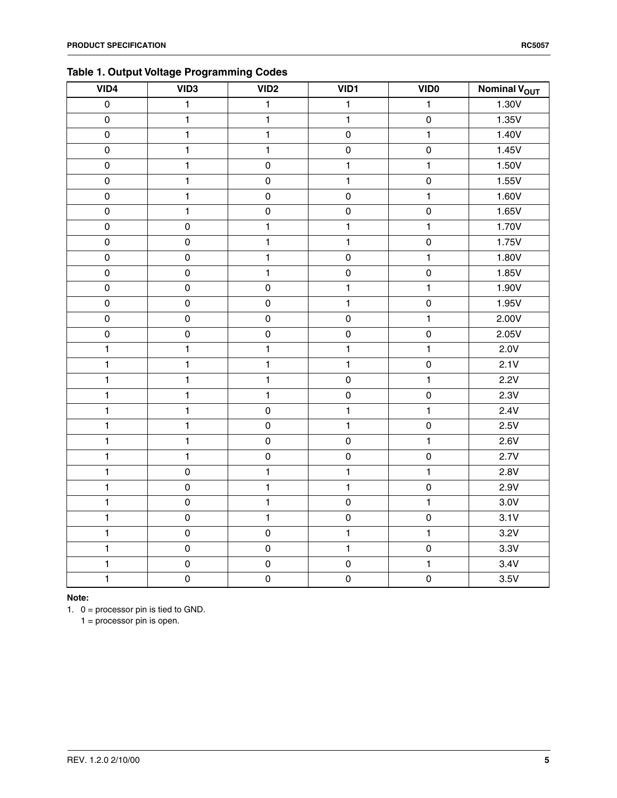### **Table 1. Output Voltage Programming Codes**

| VID4                  | VID <sub>3</sub>    | $\overline{VID2}$   | VID1           | <b>VIDO</b>         | Nominal V <sub>OUT</sub> |
|-----------------------|---------------------|---------------------|----------------|---------------------|--------------------------|
| $\overline{\text{o}}$ | $\overline{1}$      | $\overline{1}$      | $\overline{1}$ | $\mathbf{1}$        | 1.30V                    |
| $\mathbf 0$           | $\mathbf{1}$        | $\mathbf{1}$        | $\mathbf{1}$   | $\mathsf{O}\xspace$ | 1.35V                    |
| $\mathbf 0$           | $\mathbf{1}$        | $\mathbf{1}$        | $\mathbf 0$    | $\mathbf{1}$        | 1.40V                    |
| $\mathbf 0$           | $\mathbf{1}$        | $\mathbf{1}$        | $\pmb{0}$      | $\mathbf 0$         | 1.45V                    |
| $\mathbf 0$           | $\mathbf{1}$        | $\mathbf 0$         | $\mathbf{1}$   | $\overline{1}$      | 1.50V                    |
| $\mathbf 0$           | $\mathbf{1}$        | $\mathbf 0$         | $\mathbf{1}$   | $\mathbf 0$         | 1.55V                    |
| $\mathbf 0$           | $\mathbf{1}$        | $\mathsf{O}\xspace$ | $\mathbf 0$    | $\mathbf{1}$        | 1.60V                    |
| $\mathbf 0$           | $\mathbf{1}$        | $\pmb{0}$           | $\pmb{0}$      | $\mathbf 0$         | 1.65V                    |
| $\mathsf 0$           | $\mathsf 0$         | $\mathbf{1}$        | $\mathbf{1}$   | $\mathbf{1}$        | 1.70V                    |
| $\mathbf 0$           | $\mathsf 0$         | 1                   | $\mathbf{1}$   | $\mathsf{O}\xspace$ | 1.75V                    |
| $\mathbf 0$           | $\pmb{0}$           | 1                   | $\pmb{0}$      | $\mathbf{1}$        | 1.80V                    |
| $\mathbf 0$           | $\mathsf 0$         | $\mathbf{1}$        | $\pmb{0}$      | $\mathbf 0$         | 1.85V                    |
| $\mathsf 0$           | $\pmb{0}$           | $\mathbf 0$         | $\mathbf{1}$   | $\mathbf{1}$        | 1.90V                    |
| $\mathbf 0$           | $\pmb{0}$           | $\pmb{0}$           | $\mathbf{1}$   | $\mathbf 0$         | 1.95V                    |
| $\mathsf 0$           | $\mathsf{O}\xspace$ | $\pmb{0}$           | $\mathbf 0$    | $\mathbf{1}$        | 2.00V                    |
| $\mathsf 0$           | $\mathsf{O}\xspace$ | $\pmb{0}$           | $\pmb{0}$      | $\mathbf 0$         | 2.05V                    |
| $\mathbf{1}$          | $\mathbf{1}$        | $\mathbf{1}$        | $\mathbf{1}$   | $\mathbf{1}$        | 2.0V                     |
| $\mathbf{1}$          | $\mathbf{1}$        | 1                   | $\mathbf{1}$   | $\mathsf{O}\xspace$ | 2.1V                     |
| $\mathbf{1}$          | $\mathbf{1}$        | $\mathbf{1}$        | $\pmb{0}$      | $\mathbf{1}$        | 2.2V                     |
| $\mathbf{1}$          | $\mathbf{1}$        | $\mathbf{1}$        | $\pmb{0}$      | $\mathbf 0$         | 2.3V                     |
| $\mathbf{1}$          | $\mathbf{1}$        | $\pmb{0}$           | $\mathbf{1}$   | $\mathbf{1}$        | 2.4V                     |
| $\mathbf{1}$          | $\mathbf{1}$        | $\pmb{0}$           | $\mathbf{1}$   | $\mathbf 0$         | 2.5V                     |
| $\mathbf{1}$          | $\mathbf{1}$        | $\mathsf{O}\xspace$ | $\mathbf 0$    | $\mathbf{1}$        | 2.6V                     |
| $\mathbf{1}$          | $\mathbf{1}$        | $\pmb{0}$           | $\pmb{0}$      | $\mathsf 0$         | 2.7V                     |
| $\mathbf{1}$          | $\pmb{0}$           | $\mathbf{1}$        | $\mathbf{1}$   | $\mathbf{1}$        | 2.8V                     |
| $\mathbf{1}$          | $\mathbf 0$         | 1                   | $\mathbf{1}$   | $\mathsf{O}\xspace$ | 2.9V                     |
| $\mathbf{1}$          | $\pmb{0}$           | $\mathbf{1}$        | $\pmb{0}$      | $\mathbf{1}$        | 3.0V                     |
| $\mathbf{1}$          | $\mathsf 0$         | $\mathbf{1}$        | $\pmb{0}$      | $\mathsf{O}\xspace$ | 3.1V                     |
| $\mathbf{1}$          | $\pmb{0}$           | $\pmb{0}$           | $\mathbf{1}$   | $\mathbf{1}$        | 3.2V                     |
| $\mathbf{1}$          | $\mathbf 0$         | $\mathbf 0$         | $\mathbf{1}$   | $\mathbf 0$         | 3.3V                     |
| $\overline{1}$        | $\mathsf{O}\xspace$ | $\mathbf 0$         | $\mathbf 0$    | $\mathbf{1}$        | 3.4V                     |
| $\mathbf{1}$          | $\mathsf{O}\xspace$ | $\mathsf 0$         | $\mathbf 0$    | $\mathbf 0$         | 3.5V                     |

**Note:**

1. 0 = processor pin is tied to GND.

1 = processor pin is open.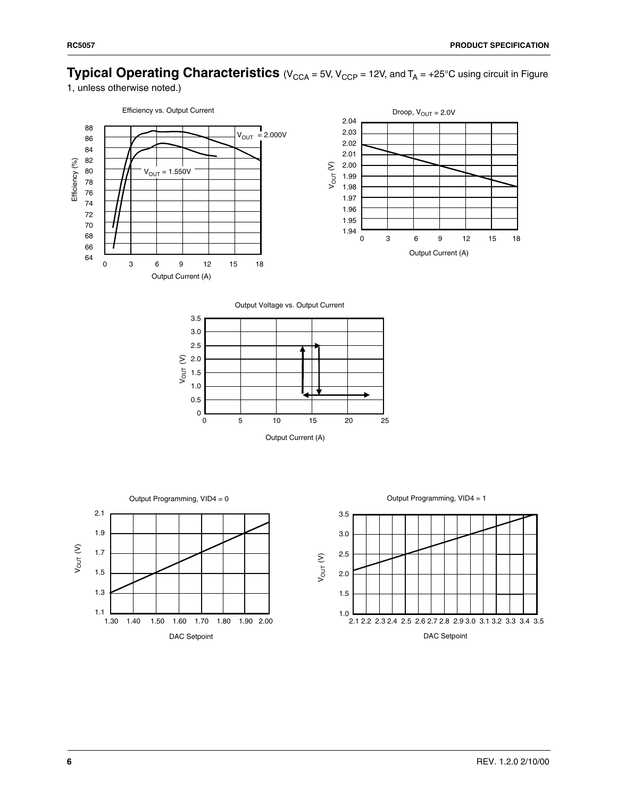# **Typical Operating Characteristics** (V<sub>CCA</sub> = 5V, V<sub>CCP</sub> = 12V, and T<sub>A</sub> = +25°C using circuit in Figure

1, unless otherwise noted.)



Output Voltage vs. Output Current



Output Programming, VID4 = 0



Output Programming, VID4 = 1

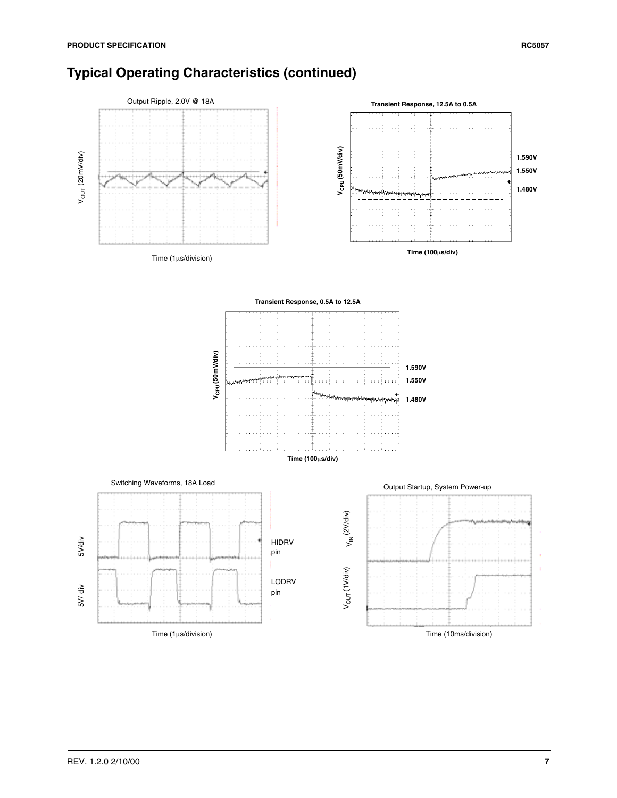# **Typical Operating Characteristics (continued)**

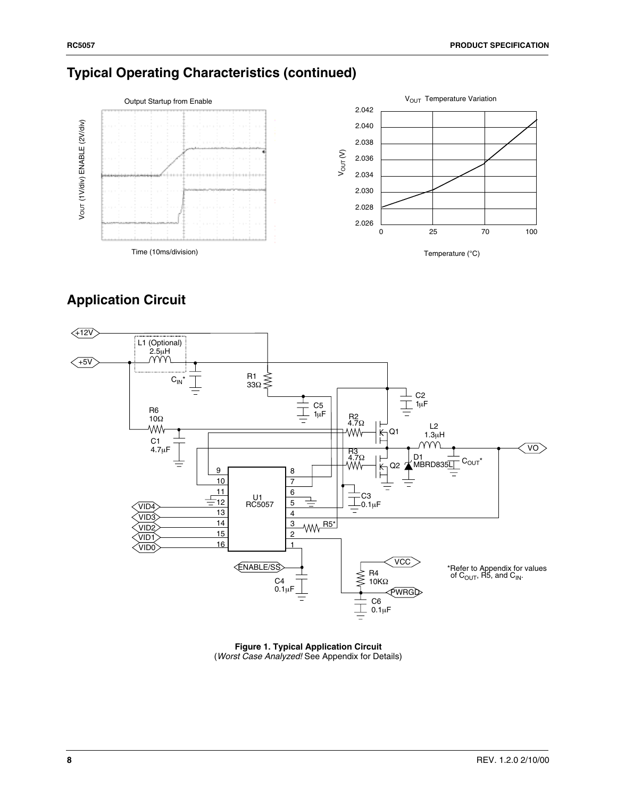# **Typical Operating Characteristics (continued)**



# **Application Circuit**



**Figure 1. Typical Application Circuit** (*Worst Case Analyzed!* See Appendix for Details)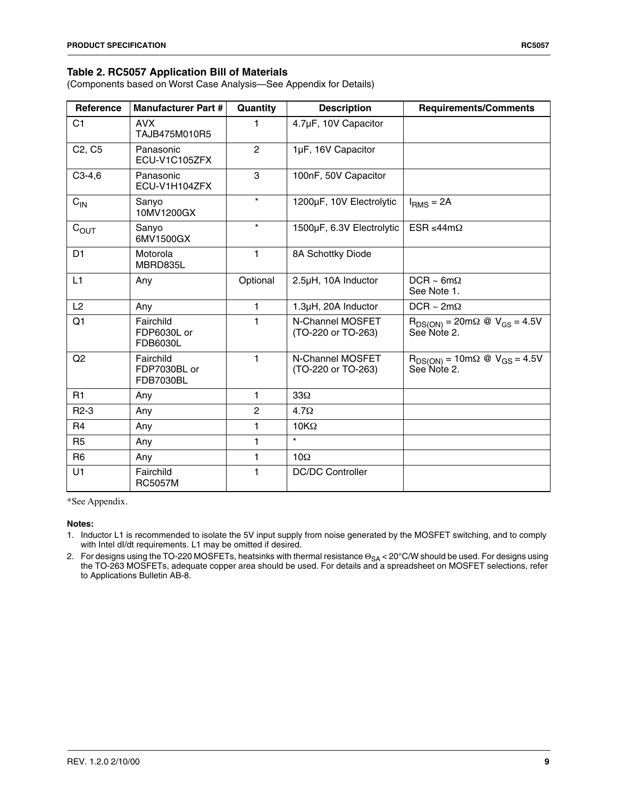### **Table 2. RC5057 Application Bill of Materials**

(Components based on Worst Case Analysis—See Appendix for Details)

| Reference                       | <b>Manufacturer Part #</b>                    | Quantity       | <b>Description</b>                     | <b>Requirements/Comments</b>                                                                   |
|---------------------------------|-----------------------------------------------|----------------|----------------------------------------|------------------------------------------------------------------------------------------------|
| C <sub>1</sub>                  | <b>AVX</b><br>TAJB475M010R5                   | 1              | 4.7µF, 10V Capacitor                   |                                                                                                |
| C <sub>2</sub> , C <sub>5</sub> | Panasonic<br>ECU-V1C105ZFX                    | $\overline{c}$ | 1µF, 16V Capacitor                     |                                                                                                |
| $C3-4,6$                        | Panasonic<br>ECU-V1H104ZFX                    | 3              | 100nF, 50V Capacitor                   |                                                                                                |
| $C_{IN}$                        | Sanyo<br>10MV1200GX                           | $\star$        | 1200µF, 10V Electrolytic               | $IRMS = 2A$                                                                                    |
| $C_{OUT}$                       | Sanyo<br>6MV1500GX                            | $\star$        | 1500µF, 6.3V Electrolytic              | ESR ≤44mΩ                                                                                      |
| D <sub>1</sub>                  | Motorola<br>MBRD835L                          | 1              | 8A Schottky Diode                      |                                                                                                |
| L1                              | Any                                           | Optional       | 2.5µH, 10A Inductor                    | $DCR \sim 6m\Omega$<br>See Note 1.                                                             |
| L2                              | Any                                           | 1              | 1.3µH, 20A Inductor                    | DCR ~ $2m\Omega$                                                                               |
| Q1                              | Fairchild<br>FDP6030L or<br><b>FDB6030L</b>   | 1              | N-Channel MOSFET<br>(TO-220 or TO-263) | $R_{DS(ON)} = 20 \text{m}\Omega \text{ @ } V_{GS} = 4.5 V$<br>See Note 2.                      |
| Q2                              | Fairchild<br>FDP7030BL or<br><b>FDB7030BL</b> | 1              | N-Channel MOSFET<br>(TO-220 or TO-263) | $R_{DS(ON)} = 10 \text{m}\Omega \text{ } \textcircled{ } V_{GS} = 4.5 \text{V}$<br>See Note 2. |
| R <sub>1</sub>                  | Any                                           | 1              | $33\Omega$                             |                                                                                                |
| $R2-3$                          | Any                                           | $\overline{c}$ | $4.7\Omega$                            |                                                                                                |
| R <sub>4</sub>                  | Any                                           | 1              | $10K\Omega$                            |                                                                                                |
| R <sub>5</sub>                  | Any                                           | 1              | $\star$                                |                                                                                                |
| R <sub>6</sub>                  | Any                                           | 1              | $10\Omega$                             |                                                                                                |
| U1                              | Fairchild<br><b>RC5057M</b>                   | 1              | <b>DC/DC Controller</b>                |                                                                                                |

\*See Appendix.

#### **Notes:**

1. Inductor L1 is recommended to isolate the 5V input supply from noise generated by the MOSFET switching, and to comply with Intel dI/dt requirements. L1 may be omitted if desired.

2. For designs using the TO-220 MOSFETs, heatsinks with thermal resistance  $\Theta_{SA}$  < 20°C/W should be used. For designs using the TO-263 MOSFETs, adequate copper area should be used. For details and a spreadsheet on MOSFET selections, refer to Applications Bulletin AB-8.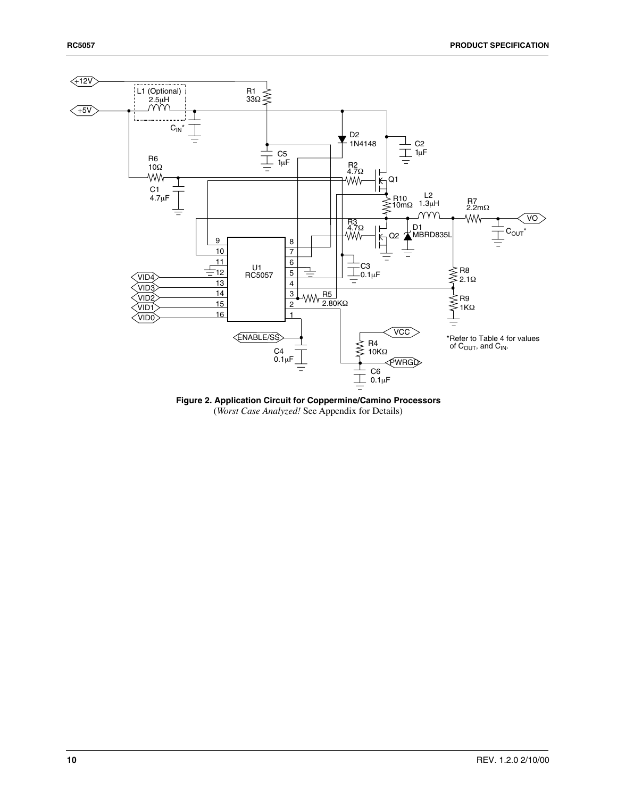

**Figure 2. Application Circuit for Coppermine/Camino Processors** (*Worst Case Analyzed!* See Appendix for Details)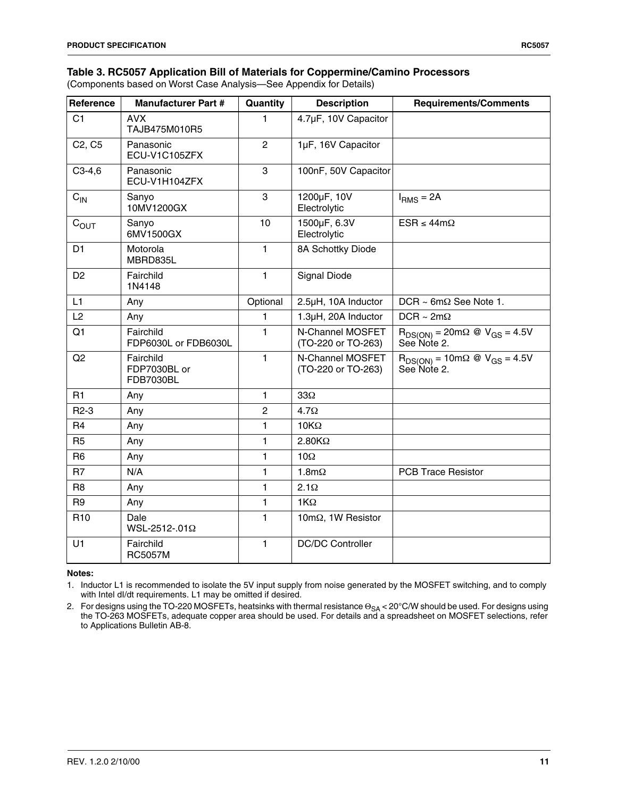(Components based on Worst Case Analysis—See Appendix for Details)

| Reference                       | <b>Manufacturer Part #</b>                    | Quantity       | <b>Description</b>                     | <b>Requirements/Comments</b>                                                     |
|---------------------------------|-----------------------------------------------|----------------|----------------------------------------|----------------------------------------------------------------------------------|
| C <sub>1</sub>                  | <b>AVX</b><br>TAJB475M010R5                   | 1              | 4.7µF, 10V Capacitor                   |                                                                                  |
| C <sub>2</sub> , C <sub>5</sub> | Panasonic<br>ECU-V1C105ZFX                    | $\overline{2}$ | 1µF, 16V Capacitor                     |                                                                                  |
| $C3-4,6$                        | Panasonic<br>ECU-V1H104ZFX                    | 3              | 100nF, 50V Capacitor                   |                                                                                  |
| $C_{IN}$                        | Sanyo<br>10MV1200GX                           | 3              | 1200µF, 10V<br>Electrolytic            | $IRMS = 2A$                                                                      |
| $C_{OUT}$                       | Sanyo<br>6MV1500GX                            | 10             | 1500µF, 6.3V<br>Electrolytic           | $ESR \leq 44m\Omega$                                                             |
| D <sub>1</sub>                  | Motorola<br>MBRD835L                          | 1              | 8A Schottky Diode                      |                                                                                  |
| D <sub>2</sub>                  | Fairchild<br>1N4148                           | $\mathbf{1}$   | <b>Signal Diode</b>                    |                                                                                  |
| L1                              | Any                                           | Optional       | 2.5µH, 10A Inductor                    | $DCR \sim 6m\Omega$ See Note 1.                                                  |
| L2                              | Any                                           | 1              | 1.3µH, 20A Inductor                    | $DCR \sim 2m\Omega$                                                              |
| Q1                              | Fairchild<br>FDP6030L or FDB6030L             | 1              | N-Channel MOSFET<br>(TO-220 or TO-263) | $R_{DS(ON)} = 20 \text{m}\Omega \text{ @ } V_{GS} = 4.5 \text{V}$<br>See Note 2. |
| Q2                              | Fairchild<br>FDP7030BL or<br><b>FDB7030BL</b> | 1              | N-Channel MOSFET<br>(TO-220 or TO-263) | $R_{DS(ON)} = 10m\Omega \text{ @ } V_{GS} = 4.5V$<br>See Note 2.                 |
| R <sub>1</sub>                  | Any                                           | 1              | $33\Omega$                             |                                                                                  |
| $R2-3$                          | Any                                           | $\overline{2}$ | $4.7\Omega$                            |                                                                                  |
| R <sub>4</sub>                  | Any                                           | $\blacksquare$ | $10K\Omega$                            |                                                                                  |
| <b>R5</b>                       | Any                                           | 1              | $2.80K\Omega$                          |                                                                                  |
| R <sub>6</sub>                  | Any                                           | 1              | 10 $\Omega$                            |                                                                                  |
| R <sub>7</sub>                  | N/A                                           | 1              | $1.8m\Omega$                           | <b>PCB Trace Resistor</b>                                                        |
| R <sub>8</sub>                  | Any                                           | 1              | $2.1\Omega$                            |                                                                                  |
| R <sub>9</sub>                  | Any                                           | $\mathbf{1}$   | $1K\Omega$                             |                                                                                  |
| R <sub>10</sub>                 | Dale<br>WSL-2512-.01Ω                         | 1              | 10mΩ, 1W Resistor                      |                                                                                  |
| U1                              | Fairchild<br><b>RC5057M</b>                   | $\mathbf{1}$   | <b>DC/DC Controller</b>                |                                                                                  |

#### **Notes:**

1. Inductor L1 is recommended to isolate the 5V input supply from noise generated by the MOSFET switching, and to comply with Intel dI/dt requirements. L1 may be omitted if desired.

2. For designs using the TO-220 MOSFETs, heatsinks with thermal resistance Θ<sub>SA</sub> < 20°C/W should be used. For designs using the TO-263 MOSFETs, adequate copper area should be used. For details and a spreadsheet on MOSFET selections, refer to Applications Bulletin AB-8.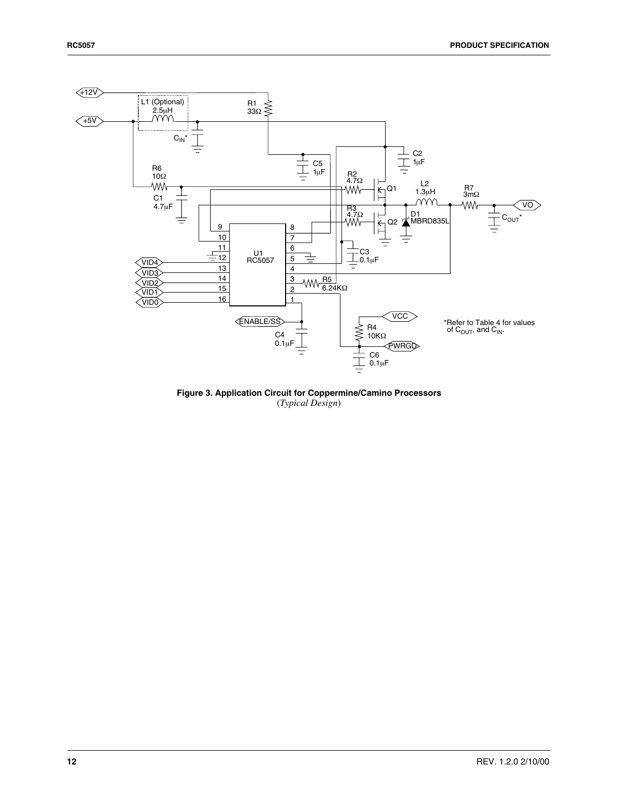

**Figure 3. Application Circuit for Coppermine/Camino Processors** (*Typical Design*)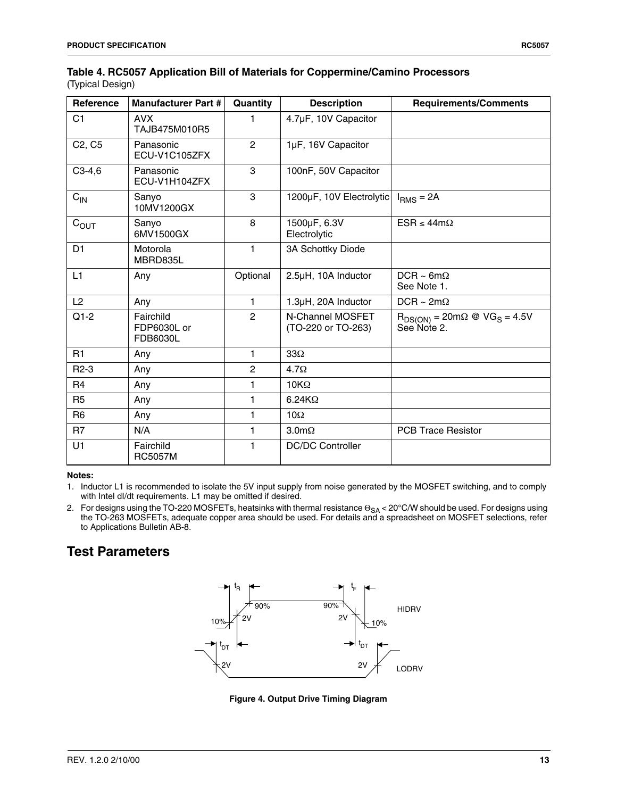### **Table 4. RC5057 Application Bill of Materials for Coppermine/Camino Processors** (Typical Design)

| Reference                       | <b>Manufacturer Part #</b>           | Quantity       | <b>Description</b>                     | <b>Requirements/Comments</b>                                                                          |
|---------------------------------|--------------------------------------|----------------|----------------------------------------|-------------------------------------------------------------------------------------------------------|
| C <sub>1</sub>                  | <b>AVX</b><br>TAJB475M010R5          | 1              | 4.7µF, 10V Capacitor                   |                                                                                                       |
| C <sub>2</sub> , C <sub>5</sub> | Panasonic<br>ECU-V1C105ZFX           | 2              | 1µF, 16V Capacitor                     |                                                                                                       |
| $C3-4,6$                        | Panasonic<br>ECU-V1H104ZFX           | 3              | 100nF, 50V Capacitor                   |                                                                                                       |
| $C_{\text{IN}}$                 | Sanyo<br>10MV1200GX                  | 3              | 1200µF, 10V Electrolytic               | $IRMS = 2A$                                                                                           |
| $C_{OUT}$                       | Sanyo<br>6MV1500GX                   | 8              | 1500µF, 6.3V<br>Electrolytic           | $ESR \leq 44m\Omega$                                                                                  |
| D <sub>1</sub>                  | Motorola<br>MBRD835L                 | 1              | 3A Schottky Diode                      |                                                                                                       |
| L1                              | Any                                  | Optional       | 2.5µH, 10A Inductor                    | $DCR \sim 6m\Omega$<br>See Note 1.                                                                    |
| L2                              | Any                                  | 1              | 1.3µH, 20A Inductor                    | $DCR \sim 2m\Omega$                                                                                   |
| $Q1-2$                          | Fairchild<br>FDP6030L or<br>FDB6030L | $\overline{2}$ | N-Channel MOSFET<br>(TO-220 or TO-263) | $R_{DS(ON)} = 20 \text{m}\Omega \text{ } \textcircled{ } \text{VG}_{S} = 4.5 \text{V}$<br>See Note 2. |
| R1                              | Any                                  | 1              | $33\Omega$                             |                                                                                                       |
| $R2-3$                          | Any                                  | $\overline{c}$ | $4.7\Omega$                            |                                                                                                       |
| R <sub>4</sub>                  | Any                                  | 1              | $10K\Omega$                            |                                                                                                       |
| R <sub>5</sub>                  | Any                                  | 1              | $6.24K\Omega$                          |                                                                                                       |
| R <sub>6</sub>                  | Any                                  | 1              | $10\Omega$                             |                                                                                                       |
| R7                              | N/A                                  | $\mathbf{1}$   | $3.0 \text{m}\Omega$                   | <b>PCB Trace Resistor</b>                                                                             |
| U1                              | Fairchild<br><b>RC5057M</b>          | 1              | <b>DC/DC Controller</b>                |                                                                                                       |

#### **Notes:**

1. Inductor L1 is recommended to isolate the 5V input supply from noise generated by the MOSFET switching, and to comply with Intel dI/dt requirements. L1 may be omitted if desired.

2. For designs using the TO-220 MOSFETs, heatsinks with thermal resistance  $\Theta_{SA}$  < 20°C/W should be used. For designs using<br>the TO-263 MOSFETs, adequate copper area should be used. For details and a spreadsheet on MOSFE to Applications Bulletin AB-8.

# **Test Parameters**



**Figure 4. Output Drive Timing Diagram**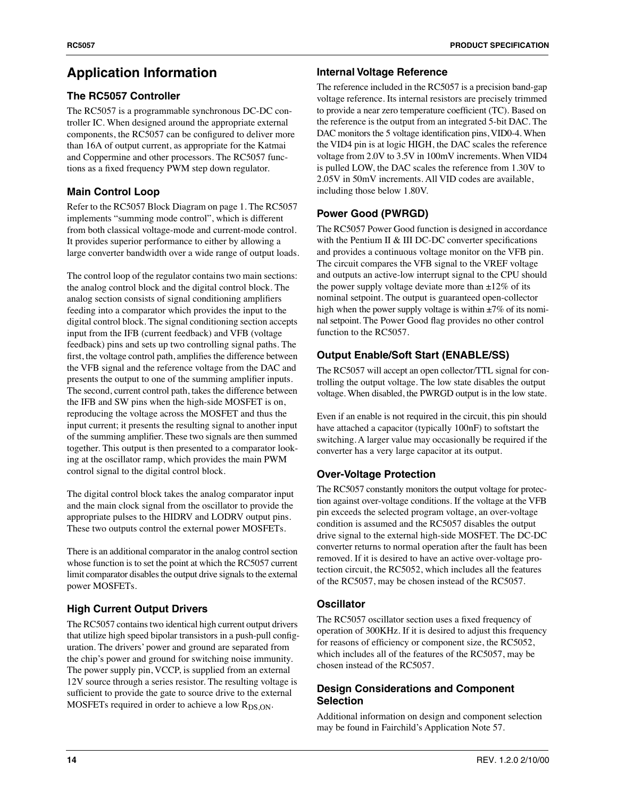# **Application Information**

### **The RC5057 Controller**

The RC5057 is a programmable synchronous DC-DC controller IC. When designed around the appropriate external components, the RC5057 can be configured to deliver more than 16A of output current, as appropriate for the Katmai and Coppermine and other processors. The RC5057 functions as a fixed frequency PWM step down regulator.

## **Main Control Loop**

Refer to the RC5057 Block Diagram on page 1. The RC5057 implements "summing mode control", which is different from both classical voltage-mode and current-mode control. It provides superior performance to either by allowing a large converter bandwidth over a wide range of output loads.

The control loop of the regulator contains two main sections: the analog control block and the digital control block. The analog section consists of signal conditioning amplifiers feeding into a comparator which provides the input to the digital control block. The signal conditioning section accepts input from the IFB (current feedback) and VFB (voltage feedback) pins and sets up two controlling signal paths. The first, the voltage control path, amplifies the difference between the VFB signal and the reference voltage from the DAC and presents the output to one of the summing amplifier inputs. The second, current control path, takes the difference between the IFB and SW pins when the high-side MOSFET is on, reproducing the voltage across the MOSFET and thus the input current; it presents the resulting signal to another input of the summing amplifier. These two signals are then summed together. This output is then presented to a comparator looking at the oscillator ramp, which provides the main PWM control signal to the digital control block.

The digital control block takes the analog comparator input and the main clock signal from the oscillator to provide the appropriate pulses to the HIDRV and LODRV output pins. These two outputs control the external power MOSFETs.

There is an additional comparator in the analog control section whose function is to set the point at which the RC5057 current limit comparator disables the output drive signals to the external power MOSFETs.

### **High Current Output Drivers**

The RC5057 contains two identical high current output drivers that utilize high speed bipolar transistors in a push-pull configuration. The drivers' power and ground are separated from the chip's power and ground for switching noise immunity. The power supply pin, VCCP, is supplied from an external 12V source through a series resistor. The resulting voltage is sufficient to provide the gate to source drive to the external MOSFETs required in order to achieve a low  $R_{DS,ON}$ .

### **Internal Voltage Reference**

The reference included in the RC5057 is a precision band-gap voltage reference. Its internal resistors are precisely trimmed to provide a near zero temperature coefficient (TC). Based on the reference is the output from an integrated 5-bit DAC. The DAC monitors the 5 voltage identification pins, VID0-4. When the VID4 pin is at logic HIGH, the DAC scales the reference voltage from 2.0V to 3.5V in 100mV increments. When VID4 is pulled LOW, the DAC scales the reference from 1.30V to 2.05V in 50mV increments. All VID codes are available, including those below 1.80V.

### **Power Good (PWRGD)**

The RC5057 Power Good function is designed in accordance with the Pentium II & III DC-DC converter specifications and provides a continuous voltage monitor on the VFB pin. The circuit compares the VFB signal to the VREF voltage and outputs an active-low interrupt signal to the CPU should the power supply voltage deviate more than  $\pm 12\%$  of its nominal setpoint. The output is guaranteed open-collector high when the power supply voltage is within  $\pm 7\%$  of its nominal setpoint. The Power Good flag provides no other control function to the RC5057.

### **Output Enable/Soft Start (ENABLE/SS)**

The RC5057 will accept an open collector/TTL signal for controlling the output voltage. The low state disables the output voltage. When disabled, the PWRGD output is in the low state.

Even if an enable is not required in the circuit, this pin should have attached a capacitor (typically 100nF) to softstart the switching. A larger value may occasionally be required if the converter has a very large capacitor at its output.

### **Over-Voltage Protection**

The RC5057 constantly monitors the output voltage for protection against over-voltage conditions. If the voltage at the VFB pin exceeds the selected program voltage, an over-voltage condition is assumed and the RC5057 disables the output drive signal to the external high-side MOSFET. The DC-DC converter returns to normal operation after the fault has been removed. If it is desired to have an active over-voltage protection circuit, the RC5052, which includes all the features of the RC5057, may be chosen instead of the RC5057.

### **Oscillator**

The RC5057 oscillator section uses a fixed frequency of operation of 300KHz. If it is desired to adjust this frequency for reasons of efficiency or component size, the RC5052, which includes all of the features of the RC5057, may be chosen instead of the RC5057.

### **Design Considerations and Component Selection**

Additional information on design and component selection may be found in Fairchild's Application Note 57.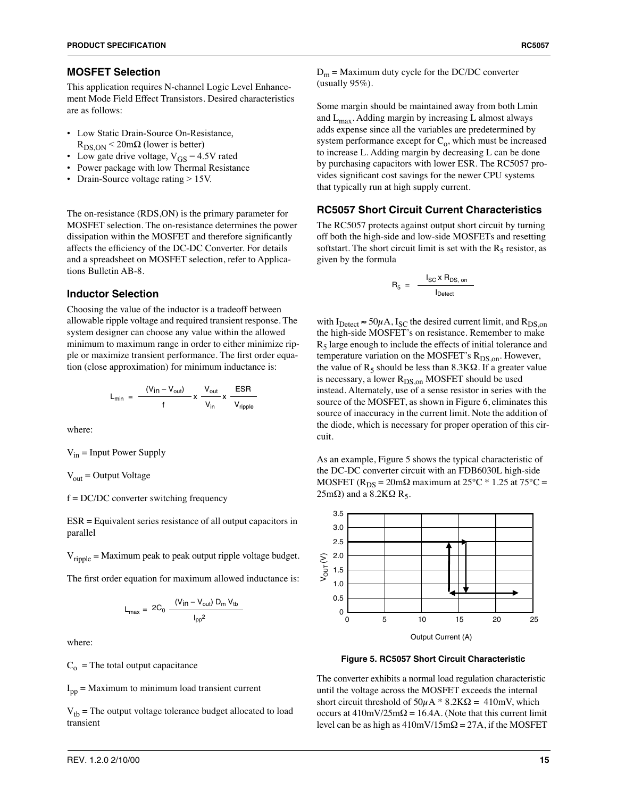#### **MOSFET Selection**

This application requires N-channel Logic Level Enhancement Mode Field Effect Transistors. Desired characteristics are as follows:

- Low Static Drain-Source On-Resistance,  $R_{DSON}$  < 20m $\Omega$  (lower is better)
- Low gate drive voltage,  $V_{GS} = 4.5V$  rated
- Power package with low Thermal Resistance
- Drain-Source voltage rating > 15V.

The on-resistance (RDS,ON) is the primary parameter for MOSFET selection. The on-resistance determines the power dissipation within the MOSFET and therefore significantly affects the efficiency of the DC-DC Converter. For details and a spreadsheet on MOSFET selection, refer to Applications Bulletin AB-8.

#### **Inductor Selection**

Choosing the value of the inductor is a tradeoff between allowable ripple voltage and required transient response. The system designer can choose any value within the allowed minimum to maximum range in order to either minimize ripple or maximize transient performance. The first order equation (close approximation) for minimum inductance is:

$$
L_{min} = \frac{(V_{in} - V_{out})}{f} \times \frac{V_{out}}{V_{in}} \times \frac{ESR}{V_{right}}
$$

where:

 $V_{in}$  = Input Power Supply

 $V_{\text{out}}$  = Output Voltage

#### f = DC/DC converter switching frequency

ESR = Equivalent series resistance of all output capacitors in parallel

 $V_{\text{ripole}}$  = Maximum peak to peak output ripple voltage budget.

The first order equation for maximum allowed inductance is:

$$
L_{max} = 2C_0 \frac{(V_{in} - V_{out}) D_m V_{tb}}{I_{pp}^2}
$$

where:

 $C<sub>o</sub>$  = The total output capacitance

 $I_{\text{nn}}$  = Maximum to minimum load transient current

 $V_{tb}$  = The output voltage tolerance budget allocated to load transient

 $D_m$  = Maximum duty cycle for the DC/DC converter (usually 95%).

Some margin should be maintained away from both Lmin and  $L_{\text{max}}$ . Adding margin by increasing L almost always adds expense since all the variables are predetermined by system performance except for  $C_0$ , which must be increased to increase L. Adding margin by decreasing L can be done by purchasing capacitors with lower ESR. The RC5057 provides significant cost savings for the newer CPU systems that typically run at high supply current.

### **RC5057 Short Circuit Current Characteristics**

The RC5057 protects against output short circuit by turning off both the high-side and low-side MOSFETs and resetting softstart. The short circuit limit is set with the  $R_5$  resistor, as given by the formula

$$
R_5 = \frac{I_{SC} \times R_{DS, on}}{I_{Detect}}
$$

with  $I_{\text{Detect}} \approx 50 \mu \text{A}$ ,  $I_{\text{SC}}$  the desired current limit, and  $R_{\text{DS,on}}$ the high-side MOSFET's on resistance. Remember to make  $R<sub>5</sub>$  large enough to include the effects of initial tolerance and temperature variation on the MOSFET's  $R_{DS,on}$ . However, the value of  $R_5$  should be less than 8.3K $\Omega$ . If a greater value is necessary, a lower  $R_{DS,on}$  MOSFET should be used instead. Alternately, use of a sense resistor in series with the source of the MOSFET, as shown in Figure 6, eliminates this source of inaccuracy in the current limit. Note the addition of the diode, which is necessary for proper operation of this circuit.

As an example, Figure 5 shows the typical characteristic of the DC-DC converter circuit with an FDB6030L high-side MOSFET ( $R_{DS} = 20 \text{m}\Omega$  maximum at 25°C \* 1.25 at 75°C = 25mΩ) and a 8.2KΩ  $R_5$ .



**Figure 5. RC5057 Short Circuit Characteristic**

The converter exhibits a normal load regulation characteristic until the voltage across the MOSFET exceeds the internal short circuit threshold of  $50\mu A * 8.2K\Omega = 410mV$ , which occurs at  $410 \text{mV}/25 \text{m}\Omega = 16.4 \text{A}$ . (Note that this current limit level can be as high as  $410 \text{mV}/15 \text{m}\Omega = 27 \text{A}$ , if the MOSFET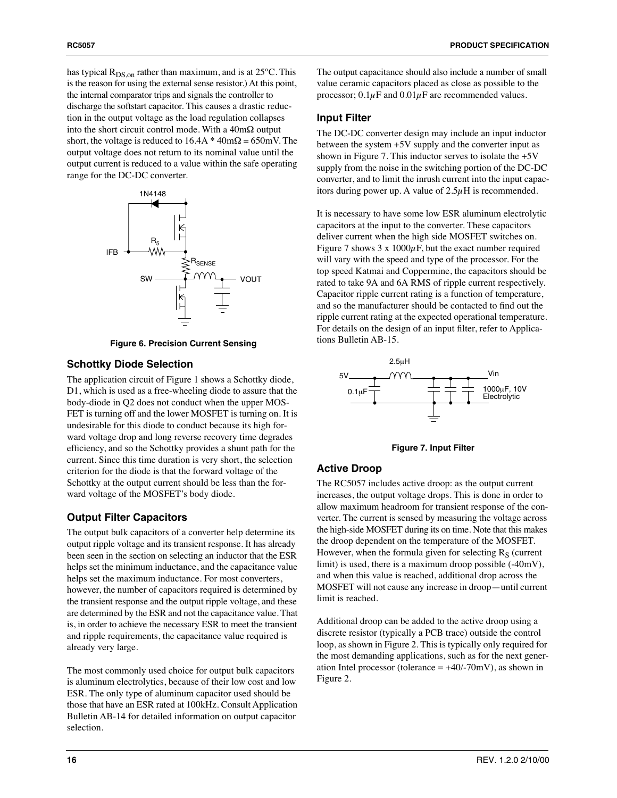has typical  $R_{DS,on}$  rather than maximum, and is at 25°C. This is the reason for using the external sense resistor.) At this point, the internal comparator trips and signals the controller to discharge the softstart capacitor. This causes a drastic reduction in the output voltage as the load regulation collapses into the short circuit control mode. With a  $40m\Omega$  output short, the voltage is reduced to  $16.4A * 40m\Omega = 650mV$ . The output voltage does not return to its nominal value until the output current is reduced to a value within the safe operating range for the DC-DC converter.



**Figure 6. Precision Current Sensing**

#### **Schottky Diode Selection**

The application circuit of Figure 1 shows a Schottky diode, D1, which is used as a free-wheeling diode to assure that the body-diode in Q2 does not conduct when the upper MOS-FET is turning off and the lower MOSFET is turning on. It is undesirable for this diode to conduct because its high forward voltage drop and long reverse recovery time degrades efficiency, and so the Schottky provides a shunt path for the current. Since this time duration is very short, the selection criterion for the diode is that the forward voltage of the Schottky at the output current should be less than the forward voltage of the MOSFET's body diode.

#### **Output Filter Capacitors**

The output bulk capacitors of a converter help determine its output ripple voltage and its transient response. It has already been seen in the section on selecting an inductor that the ESR helps set the minimum inductance, and the capacitance value helps set the maximum inductance. For most converters, however, the number of capacitors required is determined by the transient response and the output ripple voltage, and these are determined by the ESR and not the capacitance value. That is, in order to achieve the necessary ESR to meet the transient and ripple requirements, the capacitance value required is already very large.

The most commonly used choice for output bulk capacitors is aluminum electrolytics, because of their low cost and low ESR. The only type of aluminum capacitor used should be those that have an ESR rated at 100kHz. Consult Application Bulletin AB-14 for detailed information on output capacitor selection.

The output capacitance should also include a number of small value ceramic capacitors placed as close as possible to the processor;  $0.1\mu$ F and  $0.01\mu$ F are recommended values.

#### **Input Filter**

The DC-DC converter design may include an input inductor between the system +5V supply and the converter input as shown in Figure 7. This inductor serves to isolate the +5V supply from the noise in the switching portion of the DC-DC converter, and to limit the inrush current into the input capacitors during power up. A value of  $2.5\mu$ H is recommended.

It is necessary to have some low ESR aluminum electrolytic capacitors at the input to the converter. These capacitors deliver current when the high side MOSFET switches on. Figure 7 shows  $3 \times 1000 \mu$ F, but the exact number required will vary with the speed and type of the processor. For the top speed Katmai and Coppermine, the capacitors should be rated to take 9A and 6A RMS of ripple current respectively. Capacitor ripple current rating is a function of temperature, and so the manufacturer should be contacted to find out the ripple current rating at the expected operational temperature. For details on the design of an input filter, refer to Applications Bulletin AB-15.



**Figure 7. Input Filter**

#### **Active Droop**

The RC5057 includes active droop: as the output current increases, the output voltage drops. This is done in order to allow maximum headroom for transient response of the converter. The current is sensed by measuring the voltage across the high-side MOSFET during its on time. Note that this makes the droop dependent on the temperature of the MOSFET. However, when the formula given for selecting  $R<sub>S</sub>$  (current limit) is used, there is a maximum droop possible (-40mV), and when this value is reached, additional drop across the MOSFET will not cause any increase in droop—until current limit is reached.

Additional droop can be added to the active droop using a discrete resistor (typically a PCB trace) outside the control loop, as shown in Figure 2. This is typically only required for the most demanding applications, such as for the next generation Intel processor (tolerance  $= +40/-70$ mV), as shown in Figure 2.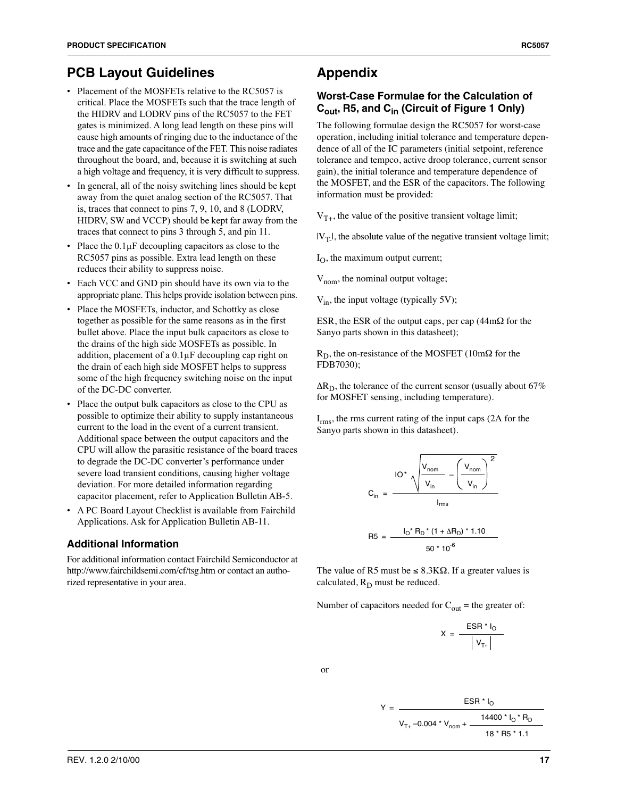- Placement of the MOSFETs relative to the RC5057 is critical. Place the MOSFETs such that the trace length of the HIDRV and LODRV pins of the RC5057 to the FET gates is minimized. A long lead length on these pins will cause high amounts of ringing due to the inductance of the trace and the gate capacitance of the FET. This noise radiates throughout the board, and, because it is switching at such a high voltage and frequency, it is very difficult to suppress.
- In general, all of the noisy switching lines should be kept away from the quiet analog section of the RC5057. That is, traces that connect to pins 7, 9, 10, and 8 (LODRV, HIDRV, SW and VCCP) should be kept far away from the traces that connect to pins 3 through 5, and pin 11.
- Place the  $0.1\mu$ F decoupling capacitors as close to the RC5057 pins as possible. Extra lead length on these reduces their ability to suppress noise.
- Each VCC and GND pin should have its own via to the appropriate plane. This helps provide isolation between pins.
- Place the MOSFETs, inductor, and Schottky as close together as possible for the same reasons as in the first bullet above. Place the input bulk capacitors as close to the drains of the high side MOSFETs as possible. In addition, placement of a 0.1µF decoupling cap right on the drain of each high side MOSFET helps to suppress some of the high frequency switching noise on the input of the DC-DC converter.
- Place the output bulk capacitors as close to the CPU as possible to optimize their ability to supply instantaneous current to the load in the event of a current transient. Additional space between the output capacitors and the CPU will allow the parasitic resistance of the board traces to degrade the DC-DC converter's performance under severe load transient conditions, causing higher voltage deviation. For more detailed information regarding capacitor placement, refer to Application Bulletin AB-5.
- A PC Board Layout Checklist is available from Fairchild Applications. Ask for Application Bulletin AB-11.

### **Additional Information**

For additional information contact Fairchild Semiconductor at http://www.fairchildsemi.com/cf/tsg.htm or contact an authorized representative in your area.

# **Appendix**

### **Worst-Case Formulae for the Calculation of Cout, R5, and Cin (Circuit of Figure 1 Only)**

The following formulae design the RC5057 for worst-case operation, including initial tolerance and temperature dependence of all of the IC parameters (initial setpoint, reference tolerance and tempco, active droop tolerance, current sensor gain), the initial tolerance and temperature dependence of the MOSFET, and the ESR of the capacitors. The following information must be provided:

 $V_{T+}$ , the value of the positive transient voltage limit;

 $|V_T|$ , the absolute value of the negative transient voltage limit;

 $I_{\Omega}$ , the maximum output current;

 $V_{\text{nom}}$ , the nominal output voltage;

 $V_{in}$ , the input voltage (typically 5V);

ESR, the ESR of the output caps, per cap (44mΩ for the Sanyo parts shown in this datasheet);

 $R_D$ , the on-resistance of the MOSFET (10m $\Omega$  for the FDB7030);

 $\Delta R_D$ , the tolerance of the current sensor (usually about 67% for MOSFET sensing, including temperature).

I<sub>rms</sub>, the rms current rating of the input caps (2A for the Sanyo parts shown in this datasheet).

$$
C_{in} = \frac{IO^{*} \sqrt{\frac{V_{nom}}{V_{in}} - \left(\frac{V_{nom}}{V_{in}}\right)^{2}}}{I_{rms}}
$$

$$
R5 = \frac{I_0^* R_D^* (1 + \Delta R_D)^* 1.10}{50^* 10^6}
$$

The value of R5 must be  $\leq 8.3$ K $\Omega$ . If a greater values is calculated,  $R_D$  must be reduced.

Number of capacitors needed for  $C<sub>out</sub>$  = the greater of:

$$
X = \frac{\text{ESR} \cdot I_0}{|V_{T}||}
$$

or

$$
Y = \frac{ESR * I_0}{V_{T+} - 0.004 * V_{nom} + \frac{14400 * I_0 * R_D}{18 * R5 * 1.1}}
$$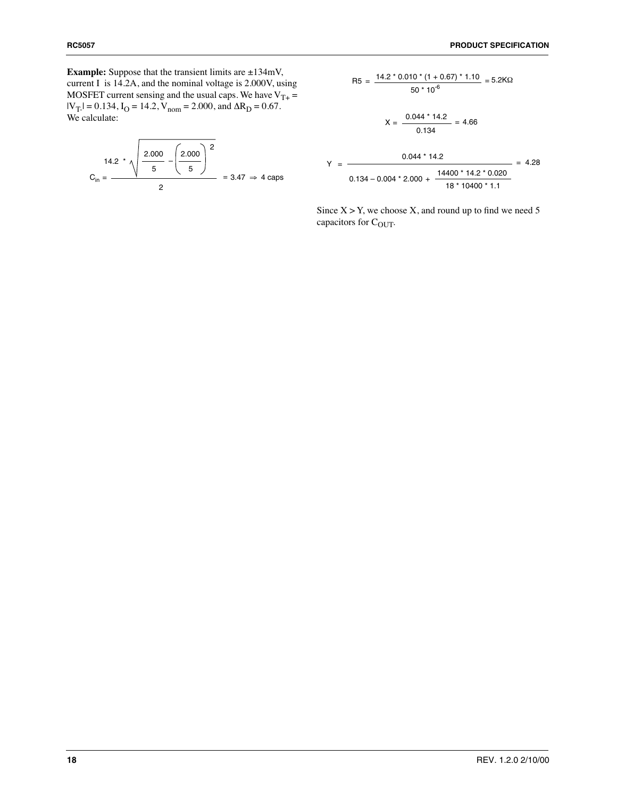**Example:** Suppose that the transient limits are  $\pm 134$ mV, current I is 14.2A, and the nominal voltage is 2.000V, using MOSFET current sensing and the usual caps. We have  $V_{T+}$  =  $|V_T| = 0.134$ ,  $I_O = 14.2$ ,  $V_{nom} = 2.000$ , and  $\Delta R_D = 0.67$ . We calculate:

$$
C_{\text{in}} = \frac{14.2 \times \sqrt{\frac{2.000}{5} - \left(\frac{2.000}{5}\right)^2}}{2} = 3.47 \Rightarrow 4 \text{ caps}
$$

$$
R5 = \frac{14.2 \times 0.010 \times (1 + 0.67) \times 1.10}{50 \times 10^{-6}} = 5.2 \text{K}\Omega
$$

$$
X = \frac{0.044 \times 14.2}{0.134} = 4.66
$$

$$
Y = \frac{0.044 \times 14.2}{0.134 - 0.004 \times 2.000 + \frac{14400 \times 14.2 \times 0.020}{18 \times 10400 \times 1.1}} = 4.28
$$

Since  $X > Y$ , we choose X, and round up to find we need 5 capacitors for C<sub>OUT</sub>.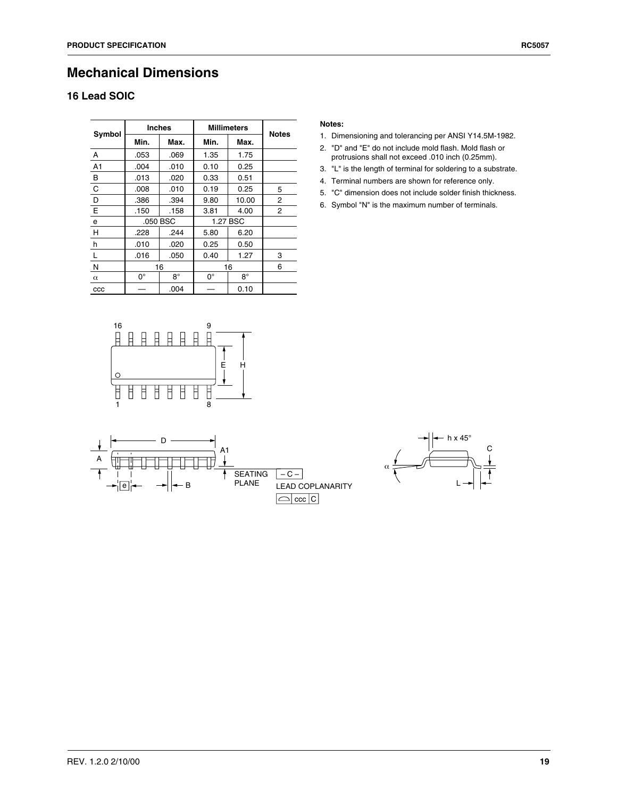# **Mechanical Dimensions**

### **16 Lead SOIC**

| Symbol       | <b>Inches</b> |           | <b>Millimeters</b> | <b>Notes</b> |   |
|--------------|---------------|-----------|--------------------|--------------|---|
|              | Min.          | Max.      | Min.               | Max.         |   |
| A            | .053          | .069      | 1.35               | 1.75         |   |
| A1           | .004          | .010      | 0.10               | 0.25         |   |
| В            | .013          | .020      | 0.33               | 0.51         |   |
| C            | .008          | .010      | 0.19               | 0.25         | 5 |
| D            | .386          | .394      | 9.80               | 10.00        | 2 |
| E            | .150          | .158      | 3.81               | 4.00         | 2 |
| e            | .050 BSC      |           | 1.27 BSC           |              |   |
| H            | .228          | .244      | 5.80               | 6.20         |   |
| h            | .010          | .020      | 0.25               | 0.50         |   |
|              | .016          | .050      | 0.40               | 1.27         | 3 |
| N            | 16            |           | 16                 |              | 6 |
| $\alpha$     | $0^{\circ}$   | $8^\circ$ | $0^{\circ}$        | $8^\circ$    |   |
| $_{\rm ccc}$ |               | .004      |                    | 0.10         |   |

#### **Notes:**

- 1. Dimensioning and tolerancing per ANSI Y14.5M-1982.
- 2. "D" and "E" do not include mold flash. Mold flash or protrusions shall not exceed .010 inch (0.25mm).
- 3. "L" is the length of terminal for soldering to a substrate.
- 4. Terminal numbers are shown for reference only.
- 5. "C" dimension does not include solder finish thickness.
- 6. Symbol "N" is the maximum number of terminals.